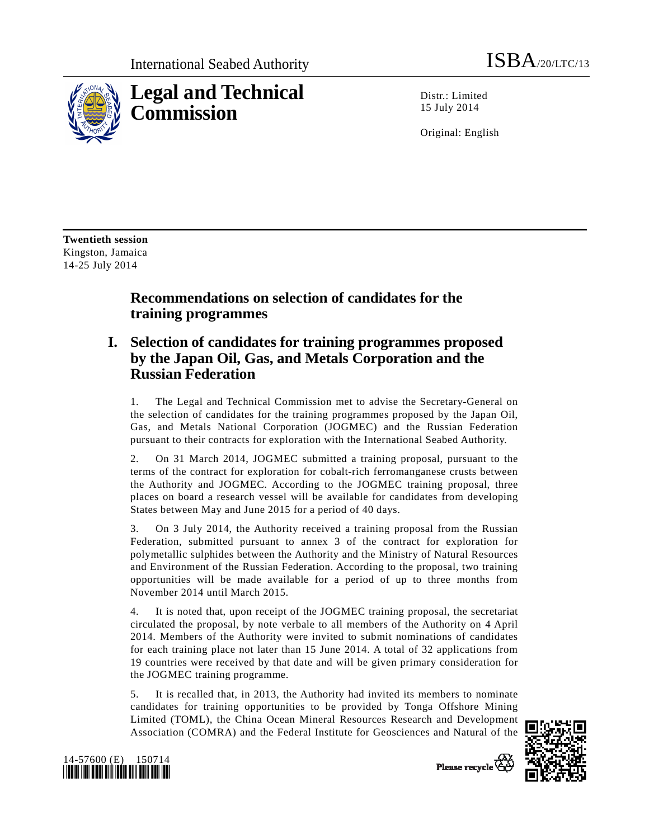

Distr.: Limited 15 July 2014

Original: English

**Twentieth session**  Kingston, Jamaica 14-25 July 2014

# **Recommendations on selection of candidates for the training programmes**

## **I. Selection of candidates for training programmes proposed by the Japan Oil, Gas, and Metals Corporation and the Russian Federation**

1. The Legal and Technical Commission met to advise the Secretary-General on the selection of candidates for the training programmes proposed by the Japan Oil, Gas, and Metals National Corporation (JOGMEC) and the Russian Federation pursuant to their contracts for exploration with the International Seabed Authority.

2. On 31 March 2014, JOGMEC submitted a training proposal, pursuant to the terms of the contract for exploration for cobalt-rich ferromanganese crusts between the Authority and JOGMEC. According to the JOGMEC training proposal, three places on board a research vessel will be available for candidates from developing States between May and June 2015 for a period of 40 days.

3. On 3 July 2014, the Authority received a training proposal from the Russian Federation, submitted pursuant to annex 3 of the contract for exploration for polymetallic sulphides between the Authority and the Ministry of Natural Resources and Environment of the Russian Federation. According to the proposal, two training opportunities will be made available for a period of up to three months from November 2014 until March 2015.

4. It is noted that, upon receipt of the JOGMEC training proposal, the secretariat circulated the proposal, by note verbale to all members of the Authority on 4 April 2014. Members of the Authority were invited to submit nominations of candidates for each training place not later than 15 June 2014. A total of 32 applications from 19 countries were received by that date and will be given primary consideration for the JOGMEC training programme.

5. It is recalled that, in 2013, the Authority had invited its members to nominate candidates for training opportunities to be provided by Tonga Offshore Mining Limited (TOML), the China Ocean Mineral Resources Research and Development Association (COMRA) and the Federal Institute for Geosciences and Natural of the





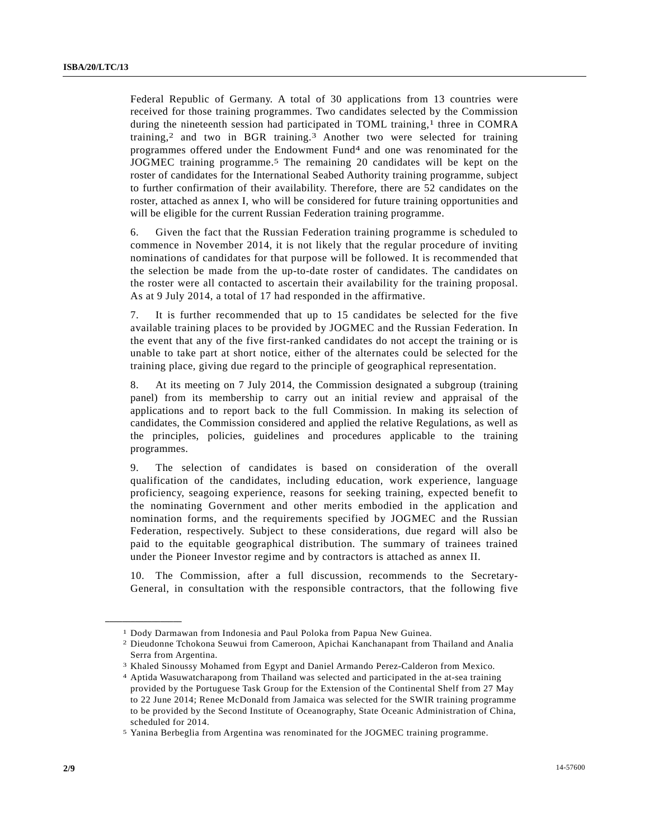Federal Republic of Germany. A total of 30 applications from 13 countries were received for those training programmes. Two candidates selected by the Commission during the nineteenth session had participated in TOML training,<sup>1</sup> three in COMRA training,2 and two in BGR training.3 Another two were selected for training programmes offered under the Endowment Fund<sup>4</sup> and one was renominated for the JOGMEC training programme.5 The remaining 20 candidates will be kept on the roster of candidates for the International Seabed Authority training programme, subject to further confirmation of their availability. Therefore, there are 52 candidates on the roster, attached as annex I, who will be considered for future training opportunities and will be eligible for the current Russian Federation training programme.

6. Given the fact that the Russian Federation training programme is scheduled to commence in November 2014, it is not likely that the regular procedure of inviting nominations of candidates for that purpose will be followed. It is recommended that the selection be made from the up-to-date roster of candidates. The candidates on the roster were all contacted to ascertain their availability for the training proposal. As at 9 July 2014, a total of 17 had responded in the affirmative.

7. It is further recommended that up to 15 candidates be selected for the five available training places to be provided by JOGMEC and the Russian Federation. In the event that any of the five first-ranked candidates do not accept the training or is unable to take part at short notice, either of the alternates could be selected for the training place, giving due regard to the principle of geographical representation.

8. At its meeting on 7 July 2014, the Commission designated a subgroup (training panel) from its membership to carry out an initial review and appraisal of the applications and to report back to the full Commission. In making its selection of candidates, the Commission considered and applied the relative Regulations, as well as the principles, policies, guidelines and procedures applicable to the training programmes.

9. The selection of candidates is based on consideration of the overall qualification of the candidates, including education, work experience, language proficiency, seagoing experience, reasons for seeking training, expected benefit to the nominating Government and other merits embodied in the application and nomination forms, and the requirements specified by JOGMEC and the Russian Federation, respectively. Subject to these considerations, due regard will also be paid to the equitable geographical distribution. The summary of trainees trained under the Pioneer Investor regime and by contractors is attached as annex II.

10. The Commission, after a full discussion, recommends to the Secretary-General, in consultation with the responsible contractors, that the following five

**\_\_\_\_\_\_\_\_\_\_\_\_\_\_\_\_\_\_** 

<sup>1</sup> Dody Darmawan from Indonesia and Paul Poloka from Papua New Guinea.

<sup>2</sup> Dieudonne Tchokona Seuwui from Cameroon, Apichai Kanchanapant from Thailand and Analia Serra from Argentina.

<sup>3</sup> Khaled Sinoussy Mohamed from Egypt and Daniel Armando Perez-Calderon from Mexico.

<sup>4</sup> Aptida Wasuwatcharapong from Thailand was selected and participated in the at-sea training provided by the Portuguese Task Group for the Extension of the Continental Shelf from 27 May to 22 June 2014; Renee McDonald from Jamaica was selected for the SWIR training programme to be provided by the Second Institute of Oceanography, State Oceanic Administration of China, scheduled for 2014.

<sup>5</sup> Yanina Berbeglia from Argentina was renominated for the JOGMEC training programme.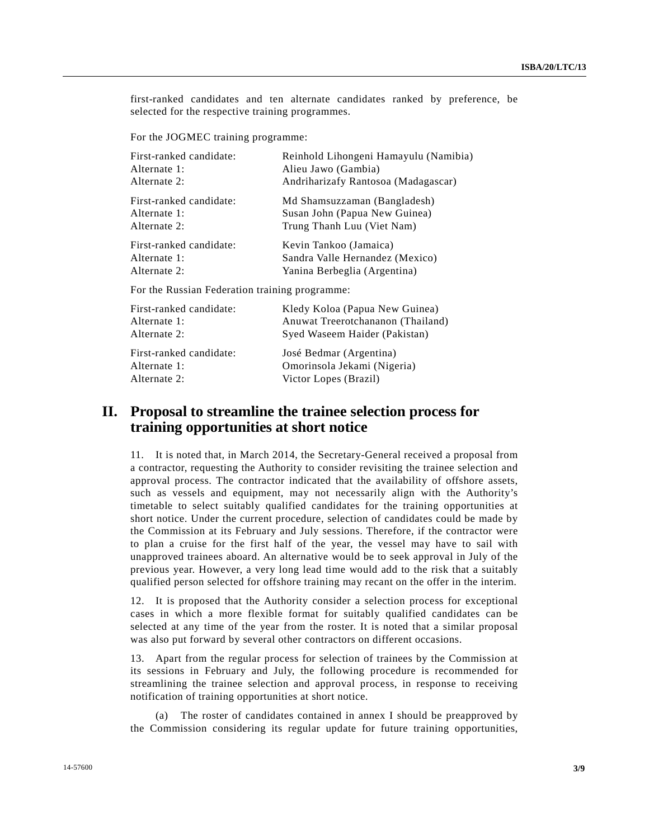first-ranked candidates and ten alternate candidates ranked by preference, be selected for the respective training programmes.

For the JOGMEC training programme:

| First-ranked candidate: | Reinhold Lihongeni Hamayulu (Namibia) |
|-------------------------|---------------------------------------|
| Alternate 1:            | Alieu Jawo (Gambia)                   |
| Alternate 2:            | Andriharizafy Rantosoa (Madagascar)   |
| First-ranked candidate: | Md Shamsuzzaman (Bangladesh)          |
| Alternate 1:            | Susan John (Papua New Guinea)         |
| Alternate 2:            | Trung Thanh Luu (Viet Nam)            |
| First-ranked candidate: | Kevin Tankoo (Jamaica)                |
| Alternate 1:            | Sandra Valle Hernandez (Mexico)       |
| Alternate 2:            | Yanina Berbeglia (Argentina)          |
|                         |                                       |

For the Russian Federation training programme:

| First-ranked candidate: | Kledy Koloa (Papua New Guinea)    |
|-------------------------|-----------------------------------|
| Alternate 1:            | Anuwat Treerotchananon (Thailand) |
| Alternate 2:            | Syed Waseem Haider (Pakistan)     |
| First-ranked candidate: | José Bedmar (Argentina)           |
| Alternate 1:            | Omorinsola Jekami (Nigeria)       |
| Alternate 2:            | Victor Lopes (Brazil)             |

#### **II. Proposal to streamline the trainee selection process for training opportunities at short notice**

11. It is noted that, in March 2014, the Secretary-General received a proposal from a contractor, requesting the Authority to consider revisiting the trainee selection and approval process. The contractor indicated that the availability of offshore assets, such as vessels and equipment, may not necessarily align with the Authority's timetable to select suitably qualified candidates for the training opportunities at short notice. Under the current procedure, selection of candidates could be made by the Commission at its February and July sessions. Therefore, if the contractor were to plan a cruise for the first half of the year, the vessel may have to sail with unapproved trainees aboard. An alternative would be to seek approval in July of the previous year. However, a very long lead time would add to the risk that a suitably qualified person selected for offshore training may recant on the offer in the interim.

12. It is proposed that the Authority consider a selection process for exceptional cases in which a more flexible format for suitably qualified candidates can be selected at any time of the year from the roster. It is noted that a similar proposal was also put forward by several other contractors on different occasions.

13. Apart from the regular process for selection of trainees by the Commission at its sessions in February and July, the following procedure is recommended for streamlining the trainee selection and approval process, in response to receiving notification of training opportunities at short notice.

 (a) The roster of candidates contained in annex I should be preapproved by the Commission considering its regular update for future training opportunities,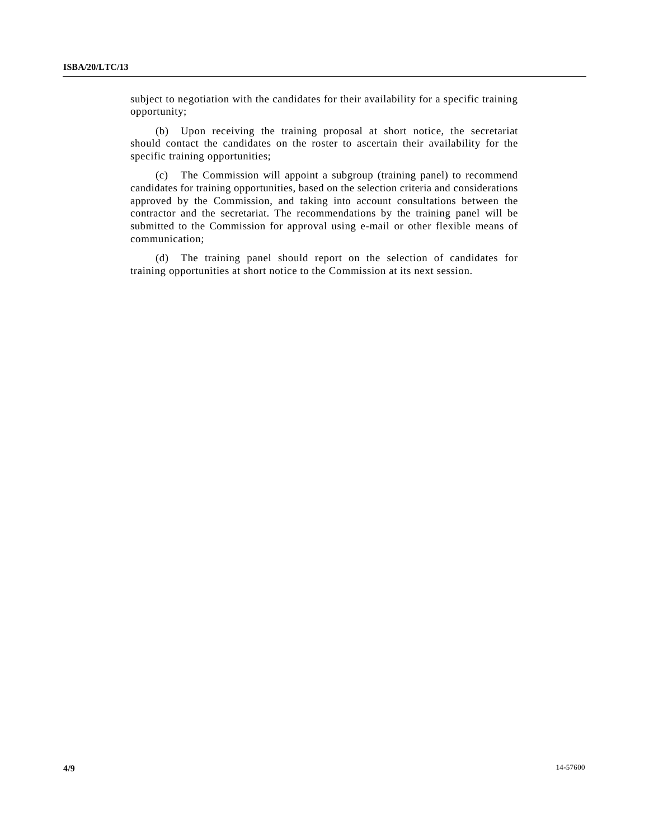subject to negotiation with the candidates for their availability for a specific training opportunity;

 (b) Upon receiving the training proposal at short notice, the secretariat should contact the candidates on the roster to ascertain their availability for the specific training opportunities;

 (c) The Commission will appoint a subgroup (training panel) to recommend candidates for training opportunities, based on the selection criteria and considerations approved by the Commission, and taking into account consultations between the contractor and the secretariat. The recommendations by the training panel will be submitted to the Commission for approval using e-mail or other flexible means of communication;

 (d) The training panel should report on the selection of candidates for training opportunities at short notice to the Commission at its next session.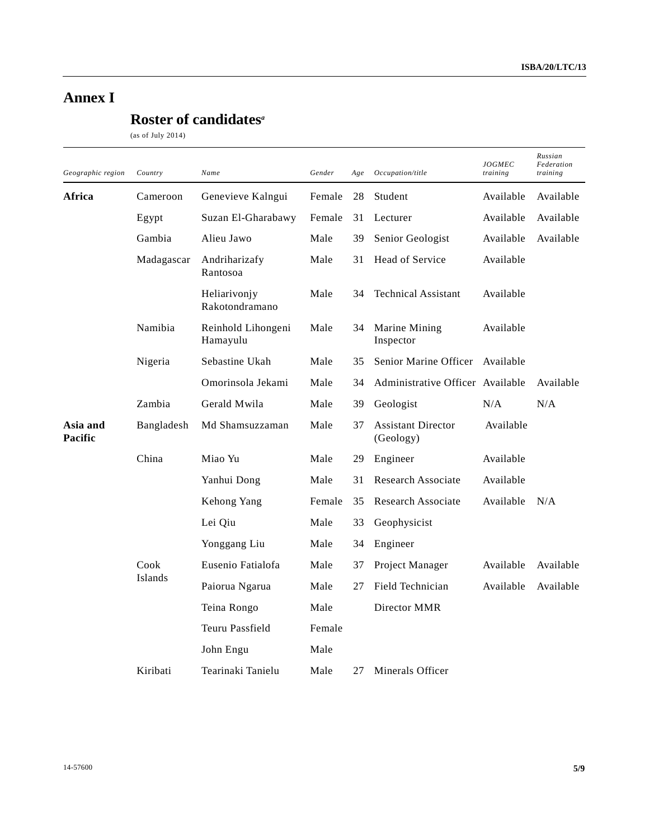# **Annex I**

# **Roster of candidates***<sup>a</sup>*

(as of July 2014)

| Geographic region   | Country        | Name                           | Gender | Age | Occupation/title                       | <b>JOGMEC</b><br>training | Russian<br>Federation<br>training |
|---------------------|----------------|--------------------------------|--------|-----|----------------------------------------|---------------------------|-----------------------------------|
| Africa              | Cameroon       | Genevieve Kalngui              | Female | 28  | Student                                | Available                 | Available                         |
|                     | Egypt          | Suzan El-Gharabawy             | Female | 31  | Lecturer                               | Available                 | Available                         |
|                     | Gambia         | Alieu Jawo                     | Male   | 39  | Senior Geologist                       | Available                 | Available                         |
|                     | Madagascar     | Andriharizafy<br>Rantosoa      | Male   | 31  | Head of Service                        | Available                 |                                   |
|                     |                | Heliarivonjy<br>Rakotondramano | Male   | 34  | <b>Technical Assistant</b>             | Available                 |                                   |
|                     | Namibia        | Reinhold Lihongeni<br>Hamayulu | Male   | 34  | Marine Mining<br>Inspector             | Available                 |                                   |
|                     | Nigeria        | Sebastine Ukah                 | Male   | 35  | Senior Marine Officer                  | Available                 |                                   |
|                     |                | Omorinsola Jekami              | Male   | 34  | Administrative Officer Available       |                           | Available                         |
|                     | Zambia         | Gerald Mwila                   | Male   | 39  | Geologist                              | N/A                       | N/A                               |
| Asia and<br>Pacific | Bangladesh     | Md Shamsuzzaman                | Male   | 37  | <b>Assistant Director</b><br>(Geology) | Available                 |                                   |
|                     | China          | Miao Yu                        | Male   | 29  | Engineer                               | Available                 |                                   |
|                     |                | Yanhui Dong                    | Male   | 31  | <b>Research Associate</b>              | Available                 |                                   |
|                     |                | Kehong Yang                    | Female | 35  | <b>Research Associate</b>              | Available                 | N/A                               |
|                     |                | Lei Qiu                        | Male   | 33  | Geophysicist                           |                           |                                   |
|                     |                | Yonggang Liu                   | Male   | 34  | Engineer                               |                           |                                   |
|                     | Cook           | Eusenio Fatialofa              | Male   | 37  | Project Manager                        | Available                 | Available                         |
|                     | <b>Islands</b> | Paiorua Ngarua                 | Male   | 27  | Field Technician                       | Available                 | Available                         |
|                     |                | Teina Rongo                    | Male   |     | Director MMR                           |                           |                                   |
|                     |                | Teuru Passfield                | Female |     |                                        |                           |                                   |
|                     |                | John Engu                      | Male   |     |                                        |                           |                                   |
|                     | Kiribati       | Tearinaki Tanielu              | Male   | 27  | Minerals Officer                       |                           |                                   |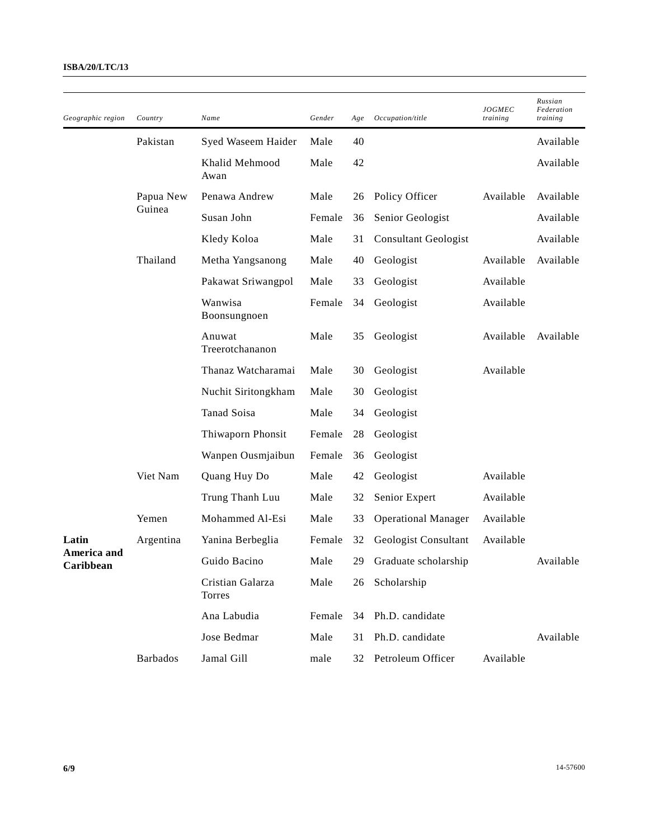| Geographic region        | Country         | Name                       | Gender | Age | Occupation/title             | <b>JOGMEC</b><br>training | Russian<br>Federation<br>training |
|--------------------------|-----------------|----------------------------|--------|-----|------------------------------|---------------------------|-----------------------------------|
|                          | Pakistan        | Syed Waseem Haider         | Male   | 40  |                              |                           | Available                         |
|                          |                 | Khalid Mehmood<br>Awan     | Male   | 42  |                              |                           | Available                         |
|                          | Papua New       | Penawa Andrew              | Male   | 26  | Policy Officer               | Available                 | Available                         |
|                          | Guinea          | Susan John                 | Female | 36  | Senior Geologist             |                           | Available                         |
|                          |                 | Kledy Koloa                | Male   | 31  | <b>Consultant Geologist</b>  |                           | Available                         |
|                          | Thailand        | Metha Yangsanong           | Male   | 40  | Geologist                    | Available                 | Available                         |
|                          |                 | Pakawat Sriwangpol         | Male   | 33  | Geologist                    | Available                 |                                   |
|                          |                 | Wanwisa<br>Boonsungnoen    | Female | 34  | Geologist                    | Available                 |                                   |
|                          |                 | Anuwat<br>Treerotchananon  | Male   | 35  | Geologist                    | Available                 | Available                         |
|                          |                 | Thanaz Watcharamai         | Male   | 30  | Geologist                    | Available                 |                                   |
|                          |                 | Nuchit Siritongkham        | Male   | 30  | Geologist                    |                           |                                   |
|                          |                 | Tanad Soisa                | Male   | 34  | Geologist                    |                           |                                   |
|                          |                 | Thiwaporn Phonsit          | Female | 28  | Geologist                    |                           |                                   |
|                          |                 | Wanpen Ousmjaibun          | Female | 36  | Geologist                    |                           |                                   |
|                          | Viet Nam        | Quang Huy Do               | Male   | 42  | Geologist                    | Available                 |                                   |
|                          |                 | Trung Thanh Luu            | Male   | 32  | Senior Expert                | Available                 |                                   |
|                          | Yemen           | Mohammed Al-Esi            | Male   | 33  | <b>Operational Manager</b>   | Available                 |                                   |
| Latin                    | Argentina       | Yanina Berbeglia           | Female | 32  | Geologist Consultant         | Available                 |                                   |
| America and<br>Caribbean |                 | Guido Bacino               |        |     | Male 29 Graduate scholarship |                           | Available                         |
|                          |                 | Cristian Galarza<br>Torres | Male   | 26  | Scholarship                  |                           |                                   |
|                          |                 | Ana Labudia                | Female | 34  | Ph.D. candidate              |                           |                                   |
|                          |                 | Jose Bedmar                | Male   | 31  | Ph.D. candidate              |                           | Available                         |
|                          | <b>Barbados</b> | Jamal Gill                 | male   | 32  | Petroleum Officer            | Available                 |                                   |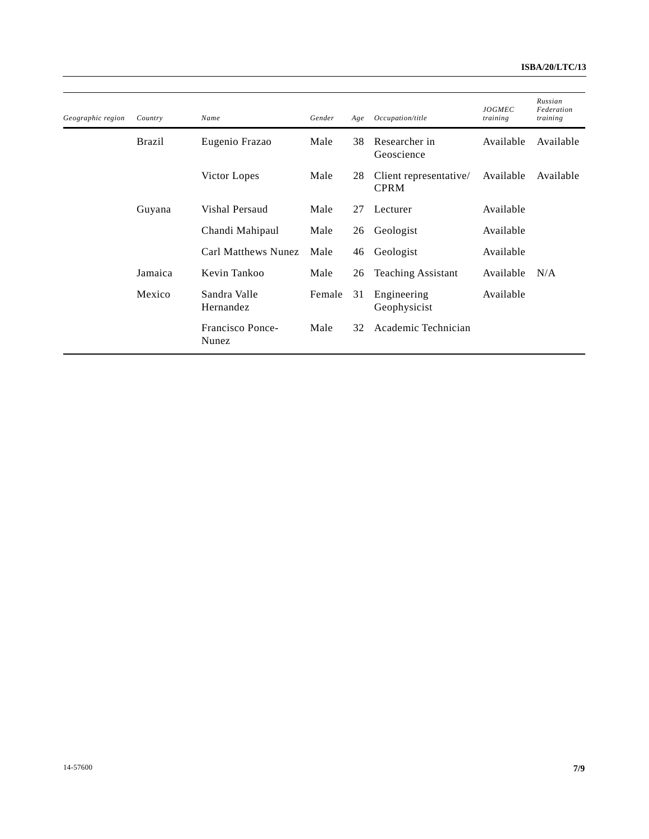| Geographic region | Country       | Name                      | Gender | Age | Occupation/title                      | <b>JOGMEC</b><br>training | Russian<br>Federation<br>training |
|-------------------|---------------|---------------------------|--------|-----|---------------------------------------|---------------------------|-----------------------------------|
|                   |               |                           |        |     |                                       |                           |                                   |
|                   | <b>Brazil</b> | Eugenio Frazao            | Male   | 38  | Researcher in<br>Geoscience           | Available                 | Available                         |
|                   |               | Victor Lopes              | Male   | 28  | Client representative/<br><b>CPRM</b> | Available                 | Available                         |
|                   | Guyana        | Vishal Persaud            | Male   | 27  | Lecturer                              | Available                 |                                   |
|                   |               | Chandi Mahipaul           | Male   | 26  | Geologist                             | Available                 |                                   |
|                   |               | Carl Matthews Nunez       | Male   | 46  | Geologist                             | Available                 |                                   |
|                   | Jamaica       | Kevin Tankoo              | Male   | 26  | <b>Teaching Assistant</b>             | Available                 | N/A                               |
|                   | Mexico        | Sandra Valle<br>Hernandez | Female | 31  | Engineering<br>Geophysicist           | Available                 |                                   |
|                   |               | Francisco Ponce-<br>Nunez | Male   | 32  | Academic Technician                   |                           |                                   |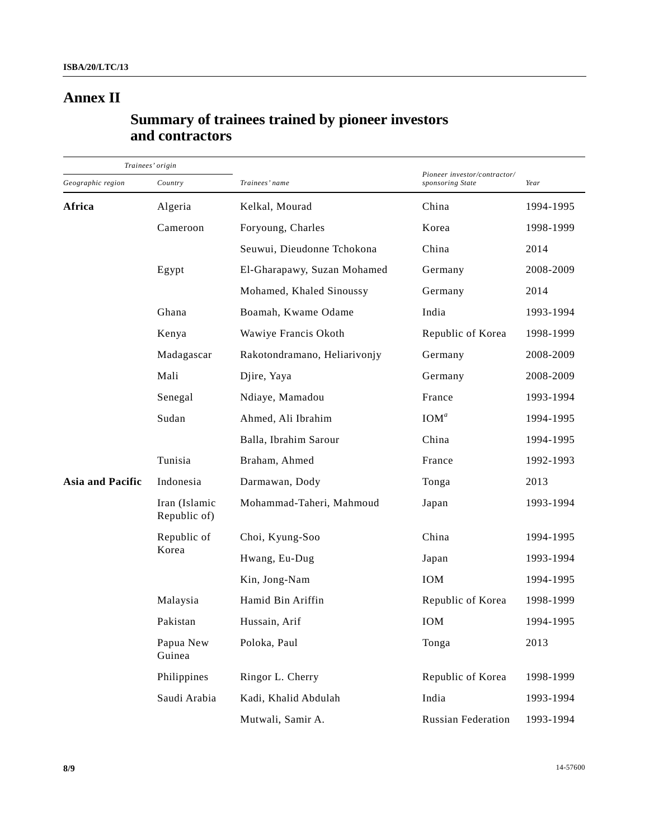# **Annex II**

## **Summary of trainees trained by pioneer investors and contractors**

| Trainees' origin        |                               |                              |                                                  |           |  |
|-------------------------|-------------------------------|------------------------------|--------------------------------------------------|-----------|--|
| Geographic region       | Country                       | Trainees' name               | Pioneer investor/contractor/<br>sponsoring State | Year      |  |
| Africa                  | Algeria                       | Kelkal, Mourad               | China                                            | 1994-1995 |  |
|                         | Cameroon                      | Foryoung, Charles            | Korea                                            | 1998-1999 |  |
|                         |                               | Seuwui, Dieudonne Tchokona   | China                                            | 2014      |  |
|                         | Egypt                         | El-Gharapawy, Suzan Mohamed  | Germany                                          | 2008-2009 |  |
|                         |                               | Mohamed, Khaled Sinoussy     | Germany                                          | 2014      |  |
|                         | Ghana                         | Boamah, Kwame Odame          | India                                            | 1993-1994 |  |
|                         | Kenya                         | Wawiye Francis Okoth         | Republic of Korea                                | 1998-1999 |  |
|                         | Madagascar                    | Rakotondramano, Heliarivonjy | Germany                                          | 2008-2009 |  |
|                         | Mali                          | Djire, Yaya                  | Germany                                          | 2008-2009 |  |
|                         | Senegal                       | Ndiaye, Mamadou              | France                                           | 1993-1994 |  |
|                         | Sudan                         | Ahmed, Ali Ibrahim           | IOM <sup>a</sup>                                 | 1994-1995 |  |
|                         |                               | Balla, Ibrahim Sarour        | China                                            | 1994-1995 |  |
|                         | Tunisia                       | Braham, Ahmed                | France                                           | 1992-1993 |  |
| <b>Asia and Pacific</b> | Indonesia                     | Darmawan, Dody               | Tonga                                            | 2013      |  |
|                         | Iran (Islamic<br>Republic of) | Mohammad-Taheri, Mahmoud     | Japan                                            | 1993-1994 |  |
|                         | Republic of                   | Choi, Kyung-Soo              | China                                            | 1994-1995 |  |
|                         | Korea                         | Hwang, Eu-Dug                | Japan                                            | 1993-1994 |  |
|                         |                               | Kin, Jong-Nam                | IOM                                              | 1994-1995 |  |
|                         | Malaysia                      | Hamid Bin Ariffin            | Republic of Korea                                | 1998-1999 |  |
|                         | Pakistan                      | Hussain, Arif                | IOM                                              | 1994-1995 |  |
|                         | Papua New<br>Guinea           | Poloka, Paul                 | Tonga                                            | 2013      |  |
|                         | Philippines                   | Ringor L. Cherry             | Republic of Korea                                | 1998-1999 |  |
|                         | Saudi Arabia                  | Kadi, Khalid Abdulah         | India                                            | 1993-1994 |  |
|                         |                               | Mutwali, Samir A.            | <b>Russian Federation</b>                        | 1993-1994 |  |